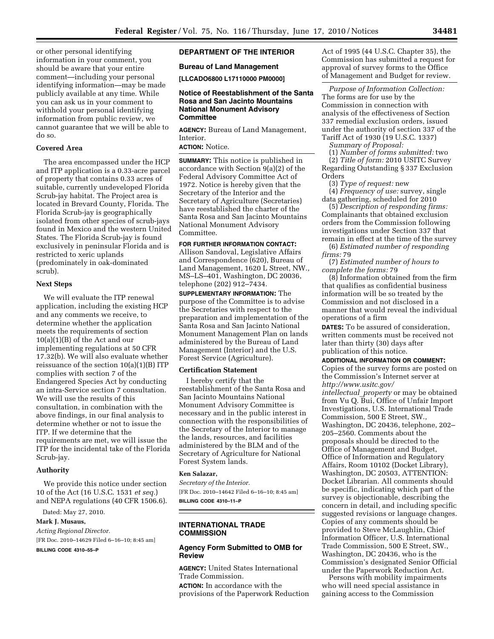or other personal identifying information in your comment, you should be aware that your entire comment—including your personal identifying information—may be made publicly available at any time. While you can ask us in your comment to withhold your personal identifying information from public review, we cannot guarantee that we will be able to do so.

# **Covered Area**

The area encompassed under the HCP and ITP application is a 0.33-acre parcel of property that contains 0.33 acres of suitable, currently undeveloped Florida Scrub-jay habitat. The Project area is located in Brevard County, Florida. The Florida Scrub-jay is geographically isolated from other species of scrub-jays found in Mexico and the western United States. The Florida Scrub-jay is found exclusively in peninsular Florida and is restricted to xeric uplands (predominately in oak-dominated scrub).

# **Next Steps**

We will evaluate the ITP renewal application, including the existing HCP and any comments we receive, to determine whether the application meets the requirements of section 10(a)(1)(B) of the Act and our implementing regulations at 50 CFR 17.32(b). We will also evaluate whether reissuance of the section  $10(a)(1)(B)$  ITP complies with section 7 of the Endangered Species Act by conducting an intra-Service section 7 consultation. We will use the results of this consultation, in combination with the above findings, in our final analysis to determine whether or not to issue the ITP. If we determine that the requirements are met, we will issue the ITP for the incidental take of the Florida Scrub-jay.

# **Authority**

We provide this notice under section 10 of the Act (16 U.S.C. 1531 *et seq.*) and NEPA regulations (40 CFR 1506.6).

Dated: May 27, 2010.

**Mark J. Musaus,**  *Acting Regional Director.*  [FR Doc. 2010–14629 Filed 6–16–10; 8:45 am]

**BILLING CODE 4310–55–P** 

# **DEPARTMENT OF THE INTERIOR**

#### **Bureau of Land Management**

**[LLCADO6800 L17110000 PM0000]** 

# **Notice of Reestablishment of the Santa Rosa and San Jacinto Mountains National Monument Advisory Committee**

**AGENCY:** Bureau of Land Management, Interior.

# **ACTION:** Notice.

**SUMMARY:** This notice is published in accordance with Section 9(a)(2) of the Federal Advisory Committee Act of 1972. Notice is hereby given that the Secretary of the Interior and the Secretary of Agriculture (Secretaries) have reestablished the charter of the Santa Rosa and San Jacinto Mountains National Monument Advisory Committee.

# **FOR FURTHER INFORMATION CONTACT:**

Allison Sandoval, Legislative Affairs and Correspondence (620), Bureau of Land Management, 1620 L Street, NW., MS–LS–401, Washington, DC 20036, telephone (202) 912–7434.

**SUPPLEMENTARY INFORMATION:** The purpose of the Committee is to advise the Secretaries with respect to the preparation and implementation of the Santa Rosa and San Jacinto National Monument Management Plan on lands administered by the Bureau of Land Management (Interior) and the U.S. Forest Service (Agriculture).

#### **Certification Statement**

I hereby certify that the reestablishment of the Santa Rosa and San Jacinto Mountains National Monument Advisory Committee is necessary and in the public interest in connection with the responsibilities of the Secretary of the Interior to manage the lands, resources, and facilities administered by the BLM and of the Secretary of Agriculture for National Forest System lands.

# **Ken Salazar,**

*Secretary of the Interior.*  [FR Doc. 2010–14642 Filed 6–16–10; 8:45 am] **BILLING CODE 4310–11–P** 

# **INTERNATIONAL TRADE COMMISSION**

# **Agency Form Submitted to OMB for Review**

**AGENCY:** United States International Trade Commission.

**ACTION:** In accordance with the provisions of the Paperwork Reduction

Act of 1995 (44 U.S.C. Chapter 35), the Commission has submitted a request for approval of survey forms to the Office of Management and Budget for review.

*Purpose of Information Collection:*  The forms are for use by the Commission in connection with analysis of the effectiveness of Section 337 remedial exclusion orders, issued under the authority of section 337 of the Tariff Act of 1930 (19 U.S.C. 1337)

*Summary of Proposal:* 

(1) *Number of forms submitted:* two

(2) *Title of form:* 2010 USITC Survey Regarding Outstanding § 337 Exclusion Orders

(3) *Type of request:* new

(4) *Frequency of use:* survey, single data gathering, scheduled for 2010

(5) *Description of responding firms:*  Complainants that obtained exclusion orders from the Commission following investigations under Section 337 that remain in effect at the time of the survey

(6) *Estimated number of responding firms:* 79

(7) *Estimated number of hours to complete the forms:* 79

(8) Information obtained from the firm that qualifies as confidential business information will be so treated by the Commission and not disclosed in a manner that would reveal the individual operations of a firm

**DATES:** To be assured of consideration, written comments must be received not later than thirty (30) days after publication of this notice.

### **ADDITIONAL INFORMATION OR COMMENT:**

Copies of the survey forms are posted on the Commission's Internet server at *[http://www.usitc.gov/](http://www.usitc.gov/intellectual_property) [intellectual](http://www.usitc.gov/intellectual_property)*\_*property* or may be obtained from Vu Q. Bui, Office of Unfair Import Investigations, U.S. International Trade Commission, 500 E Street, SW., Washington, DC 20436, telephone, 202– 205–2560. Comments about the proposals should be directed to the Office of Management and Budget, Office of Information and Regulatory Affairs, Room 10102 (Docket Library), Washington, DC 20503, ATTENTION: Docket Librarian. All comments should be specific, indicating which part of the survey is objectionable, describing the concern in detail, and including specific suggested revisions or language changes. Copies of any comments should be provided to Steve McLaughlin, Chief Information Officer, U.S. International Trade Commission, 500 E Street, SW., Washington, DC 20436, who is the Commission's designated Senior Official under the Paperwork Reduction Act.

Persons with mobility impairments who will need special assistance in gaining access to the Commission